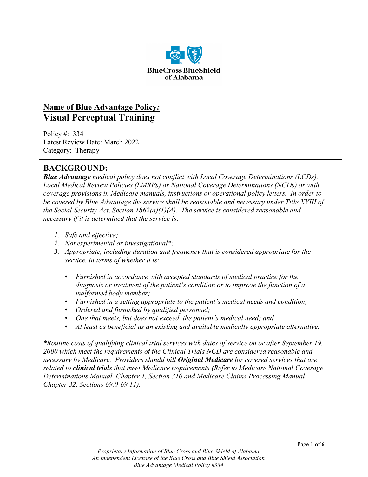

# **Name of Blue Advantage Policy***:* **Visual Perceptual Training**

Policy #: 334 Latest Review Date: March 2022 Category: Therapy

# **BACKGROUND:**

*Blue Advantage medical policy does not conflict with Local Coverage Determinations (LCDs), Local Medical Review Policies (LMRPs) or National Coverage Determinations (NCDs) or with coverage provisions in Medicare manuals, instructions or operational policy letters. In order to be covered by Blue Advantage the service shall be reasonable and necessary under Title XVIII of the Social Security Act, Section 1862(a)(1)(A). The service is considered reasonable and necessary if it is determined that the service is:*

- *1. Safe and effective;*
- *2. Not experimental or investigational\*;*
- *3. Appropriate, including duration and frequency that is considered appropriate for the service, in terms of whether it is:*
	- *Furnished in accordance with accepted standards of medical practice for the diagnosis or treatment of the patient's condition or to improve the function of a malformed body member;*
	- *Furnished in a setting appropriate to the patient's medical needs and condition;*
	- *Ordered and furnished by qualified personnel;*
	- *One that meets, but does not exceed, the patient's medical need; and*
	- *At least as beneficial as an existing and available medically appropriate alternative.*

*\*Routine costs of qualifying clinical trial services with dates of service on or after September 19, 2000 which meet the requirements of the Clinical Trials NCD are considered reasonable and necessary by Medicare. Providers should bill Original Medicare for covered services that are related to clinical trials that meet Medicare requirements (Refer to Medicare National Coverage Determinations Manual, Chapter 1, Section 310 and Medicare Claims Processing Manual Chapter 32, Sections 69.0-69.11).*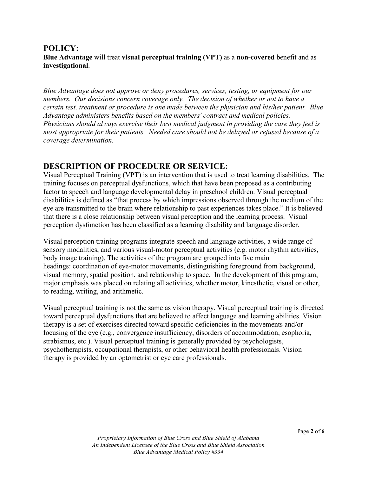#### **POLICY: Blue Advantage** will treat **visual perceptual training (VPT)** as a **non-covered** benefit and as **investigational**.

*Blue Advantage does not approve or deny procedures, services, testing, or equipment for our members. Our decisions concern coverage only. The decision of whether or not to have a certain test, treatment or procedure is one made between the physician and his/her patient. Blue Advantage administers benefits based on the members' contract and medical policies. Physicians should always exercise their best medical judgment in providing the care they feel is most appropriate for their patients. Needed care should not be delayed or refused because of a coverage determination.*

# **DESCRIPTION OF PROCEDURE OR SERVICE:**

Visual Perceptual Training (VPT) is an intervention that is used to treat learning disabilities. The training focuses on perceptual dysfunctions, which that have been proposed as a contributing factor to speech and language developmental delay in preschool children. Visual perceptual disabilities is defined as "that process by which impressions observed through the medium of the eye are transmitted to the brain where relationship to past experiences takes place." It is believed that there is a close relationship between visual perception and the learning process. Visual perception dysfunction has been classified as a learning disability and language disorder.

Visual perception training programs integrate speech and language activities, a wide range of sensory modalities, and various visual-motor perceptual activities (e.g. motor rhythm activities, body image training). The activities of the program are grouped into five main headings: coordination of eye-motor movements, distinguishing foreground from background, visual memory, spatial position, and relationship to space. In the development of this program, major emphasis was placed on relating all activities, whether motor, kinesthetic, visual or other, to reading, writing, and arithmetic.

Visual perceptual training is not the same as vision therapy. Visual perceptual training is directed toward perceptual dysfunctions that are believed to affect language and learning abilities. Vision therapy is a set of exercises directed toward specific deficiencies in the movements and/or focusing of the eye (e.g., convergence insufficiency, disorders of accommodation, esophoria, strabismus, etc.). Visual perceptual training is generally provided by psychologists, psychotherapists, occupational therapists, or other behavioral health professionals. Vision therapy is provided by an optometrist or eye care professionals.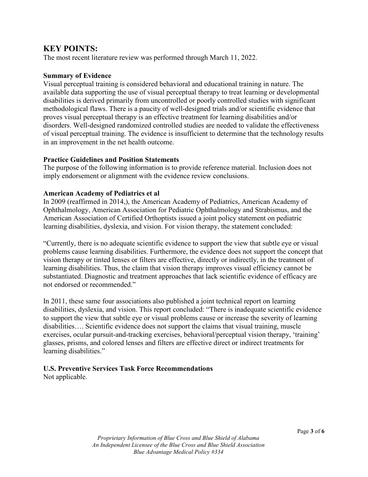### **KEY POINTS:**

The most recent literature review was performed through March 11, 2022.

#### **Summary of Evidence**

Visual perceptual training is considered behavioral and educational training in nature. The available data supporting the use of visual perceptual therapy to treat learning or developmental disabilities is derived primarily from uncontrolled or poorly controlled studies with significant methodological flaws. There is a paucity of well-designed trials and/or scientific evidence that proves visual perceptual therapy is an effective treatment for learning disabilities and/or disorders. Well-designed randomized controlled studies are needed to validate the effectiveness of visual perceptual training. The evidence is insufficient to determine that the technology results in an improvement in the net health outcome.

#### **Practice Guidelines and Position Statements**

The purpose of the following information is to provide reference material. Inclusion does not imply endorsement or alignment with the evidence review conclusions.

#### **American Academy of Pediatrics et al**

In 2009 (reaffirmed in 2014,), the American Academy of Pediatrics, American Academy of Ophthalmology, American Association for Pediatric Ophthalmology and Strabismus, and the American Association of Certified Orthoptists issued a joint policy statement on pediatric learning disabilities, dyslexia, and vision. For vision therapy, the statement concluded:

"Currently, there is no adequate scientific evidence to support the view that subtle eye or visual problems cause learning disabilities. Furthermore, the evidence does not support the concept that vision therapy or tinted lenses or filters are effective, directly or indirectly, in the treatment of learning disabilities. Thus, the claim that vision therapy improves visual efficiency cannot be substantiated. Diagnostic and treatment approaches that lack scientific evidence of efficacy are not endorsed or recommended."

In 2011, these same four associations also published a joint technical report on learning disabilities, dyslexia, and vision. This report concluded: "There is inadequate scientific evidence to support the view that subtle eye or visual problems cause or increase the severity of learning disabilities…. Scientific evidence does not support the claims that visual training, muscle exercises, ocular pursuit-and-tracking exercises, behavioral/perceptual vision therapy, 'training' glasses, prisms, and colored lenses and filters are effective direct or indirect treatments for learning disabilities."

# **U.S. Preventive Services Task Force Recommendations**

Not applicable.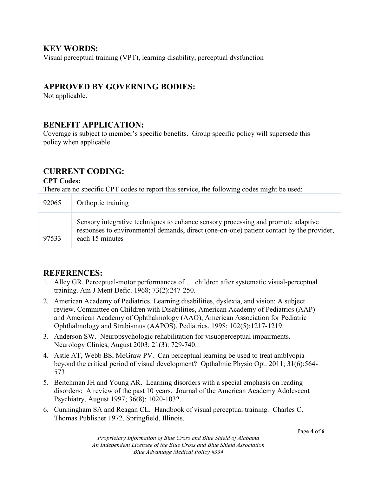### **KEY WORDS:**

Visual perceptual training (VPT), learning disability, perceptual dysfunction

# **APPROVED BY GOVERNING BODIES:**

Not applicable.

### **BENEFIT APPLICATION:**

Coverage is subject to member's specific benefits. Group specific policy will supersede this policy when applicable.

# **CURRENT CODING:**

#### **CPT Codes:**

There are no specific CPT codes to report this service, the following codes might be used:

| 92065 | Orthoptic training                                                                                                                                                                               |
|-------|--------------------------------------------------------------------------------------------------------------------------------------------------------------------------------------------------|
| 97533 | Sensory integrative techniques to enhance sensory processing and promote adaptive<br>responses to environmental demands, direct (one-on-one) patient contact by the provider,<br>each 15 minutes |

# **REFERENCES:**

- 1. Alley GR. Perceptual-motor performances of … children after systematic visual-perceptual training. Am J Ment Defic. 1968; 73(2):247-250.
- 2. American Academy of Pediatrics. Learning disabilities, dyslexia, and vision: A subject review. Committee on Children with Disabilities, American Academy of Pediatrics (AAP) and American Academy of Ophthalmology (AAO), American Association for Pediatric Ophthalmology and Strabismus (AAPOS). Pediatrics. 1998; 102(5):1217-1219.
- 3. Anderson SW. Neuropsychologic rehabilitation for visuoperceptual impairments. Neurology Clinics, August 2003; 21(3): 729-740.
- 4. Astle AT, Webb BS, McGraw PV. Can perceptual learning be used to treat amblyopia beyond the critical period of visual development? Opthalmic Physio Opt. 2011; 31(6):564- 573.
- 5. Beitchman JH and Young AR. Learning disorders with a special emphasis on reading disorders: A review of the past 10 years. Journal of the American Academy Adolescent Psychiatry, August 1997; 36(8): 1020-1032.
- 6. Cunningham SA and Reagan CL. Handbook of visual perceptual training. Charles C. Thomas Publisher 1972, Springfield, Illinois.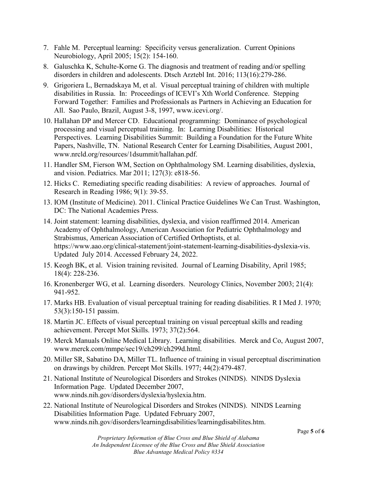- 7. Fahle M. Perceptual learning: Specificity versus generalization. Current Opinions Neurobiology, April 2005; 15(2): 154-160.
- 8. Galuschka K, Schulte-Korne G. The diagnosis and treatment of reading and/or spelling disorders in children and adolescents. Dtsch Arztebl Int. 2016; 113(16):279-286.
- 9. Grigoriera L, Bernadskaya M, et al. Visual perceptual training of children with multiple disabilities in Russia. In: Proceedings of ICEVI's Xth World Conference. Stepping Forward Together: Families and Professionals as Partners in Achieving an Education for All. Sao Paulo, Brazil, August 3-8, 1997, www.icevi.org/.
- 10. Hallahan DP and Mercer CD. Educational programming: Dominance of psychological processing and visual perceptual training. In: Learning Disabilities: Historical Perspectives. Learning Disabilities Summit: Building a Foundation for the Future White Papers, Nashville, TN. National Research Center for Learning Disabilities, August 2001, www.nrcld.org/resources/1dsummit/hallahan.pdf.
- 11. Handler SM, Fierson WM, Section on Ophthalmology SM. Learning disabilities, dyslexia, and vision. Pediatrics. Mar 2011; 127(3): e818-56.
- 12. Hicks C. Remediating specific reading disabilities: A review of approaches. Journal of Research in Reading 1986; 9(1): 39-55.
- 13. IOM (Institute of Medicine). 2011. Clinical Practice Guidelines We Can Trust. Washington, DC: The National Academies Press.
- 14. Joint statement: learning disabilities, dyslexia, and vision reaffirmed 2014. American Academy of Ophthalmology, American Association for Pediatric Ophthalmology and Strabismus, American Association of Certified Orthoptists, et al. https://www.aao.org/clinical-statement/joint-statement-learning-disabilities-dyslexia-vis. Updated July 2014. Accessed February 24, 2022.
- 15. Keogh BK, et al. Vision training revisited. Journal of Learning Disability, April 1985; 18(4): 228-236.
- 16. Kronenberger WG, et al. Learning disorders. Neurology Clinics, November 2003; 21(4): 941-952.
- 17. Marks HB. Evaluation of visual perceptual training for reading disabilities. R I Med J. 1970; 53(3):150-151 passim.
- 18. Martin JC. Effects of visual perceptual training on visual perceptual skills and reading achievement. Percept Mot Skills. 1973; 37(2):564.
- 19. Merck Manuals Online Medical Library. Learning disabilities. Merck and Co, August 2007, www.merck.com/mmpe/sec19/ch299/ch299d.html.
- 20. Miller SR, Sabatino DA, Miller TL. Influence of training in visual perceptual discrimination on drawings by children. Percept Mot Skills. 1977; 44(2):479-487.
- 21. National Institute of Neurological Disorders and Strokes (NINDS). NINDS Dyslexia Information Page. Updated December 2007, www.ninds.nih.gov/disorders/dyslexia/hyslexia.htm.
- 22. National Institute of Neurological Disorders and Strokes (NINDS). NINDS Learning Disabilities Information Page. Updated February 2007, www.ninds.nih.gov/disorders/learningdisabilities/learningdisabilites.htm.